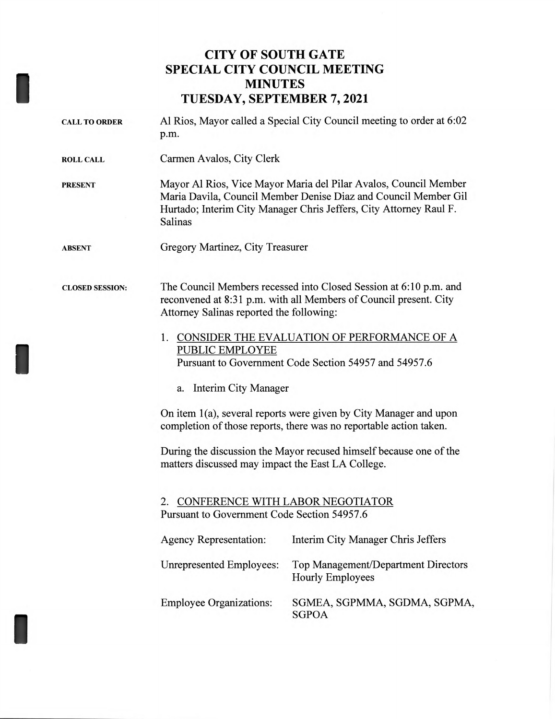## **CITY OF SOUTH GATE SPECIAL CITY COUNCIL MEETING MINUTES TUESDAY, SEPTEMBER 7, 2021**

I

| <b>CALL TO ORDER</b>   | Al Rios, Mayor called a Special City Council meeting to order at 6:02<br>p.m.                                                                                                                                        |                                                                                                                                        |  |
|------------------------|----------------------------------------------------------------------------------------------------------------------------------------------------------------------------------------------------------------------|----------------------------------------------------------------------------------------------------------------------------------------|--|
| <b>ROLL CALL</b>       | Carmen Avalos, City Clerk                                                                                                                                                                                            |                                                                                                                                        |  |
| <b>PRESENT</b>         | Mayor Al Rios, Vice Mayor Maria del Pilar Avalos, Council Member<br>Maria Davila, Council Member Denise Diaz and Council Member Gil<br>Hurtado; Interim City Manager Chris Jeffers, City Attorney Raul F.<br>Salinas |                                                                                                                                        |  |
| <b>ABSENT</b>          | Gregory Martinez, City Treasurer                                                                                                                                                                                     |                                                                                                                                        |  |
| <b>CLOSED SESSION:</b> | Attorney Salinas reported the following:                                                                                                                                                                             | The Council Members recessed into Closed Session at 6:10 p.m. and<br>reconvened at 8:31 p.m. with all Members of Council present. City |  |
|                        | 1. CONSIDER THE EVALUATION OF PERFORMANCE OF A<br>PUBLIC EMPLOYEE<br>Pursuant to Government Code Section 54957 and 54957.6                                                                                           |                                                                                                                                        |  |
|                        | a. Interim City Manager                                                                                                                                                                                              |                                                                                                                                        |  |
|                        | On item 1(a), several reports were given by City Manager and upon<br>completion of those reports, there was no reportable action taken.                                                                              |                                                                                                                                        |  |
|                        | During the discussion the Mayor recused himself because one of the<br>matters discussed may impact the East LA College.                                                                                              |                                                                                                                                        |  |
|                        | CONFERENCE WITH LABOR NEGOTIATOR<br>2.<br>Pursuant to Government Code Section 54957.6                                                                                                                                |                                                                                                                                        |  |
|                        | <b>Agency Representation:</b>                                                                                                                                                                                        | Interim City Manager Chris Jeffers                                                                                                     |  |
|                        | <b>Unrepresented Employees:</b>                                                                                                                                                                                      | Top Management/Department Directors<br><b>Hourly Employees</b>                                                                         |  |
|                        | <b>Employee Organizations:</b>                                                                                                                                                                                       | SGMEA, SGPMMA, SGDMA, SGPMA,<br><b>SGPOA</b>                                                                                           |  |
|                        |                                                                                                                                                                                                                      |                                                                                                                                        |  |